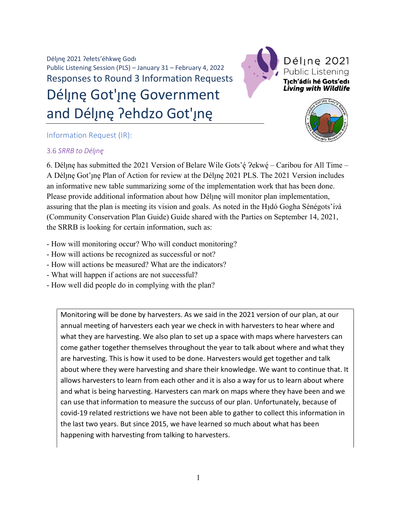Déljne 2021 ?ełets'éhkwe Godi Public Listening Session (PLS) – January 31 – February 4, 2022 Responses to Round 3 Information Requests Déline Got'ine Government and Délįnę ?ehdzo Got'įnę



Déline 2021 Public Listening Tıch'ádíı hé Gots'edı **Living with Wildlife** 



## Information Request (IR):

## 3.6 SRRB to Déljnę

6. Dél<sub>l</sub>nę has submitted the 2021 Version of Belare Wile Gots'ę́ ?ekwę́ – Caribou for All Time – A Déline Got'ine Plan of Action for review at the Déline 2021 PLS. The 2021 Version includes an informative new table summarizing some of the implementation work that has been done. Please provide additional information about how Déline will monitor plan implementation, assuring that the plan is meeting its vision and goals. As noted in the H<sub>1</sub>dó Gogha Sénégots'í<sup>2</sup>á (Community Conservation Plan Guide) Guide shared with the Parties on September 14, 2021, the SRRB is looking for certain information, such as:

- How will monitoring occur? Who will conduct monitoring?
- How will actions be recognized as successful or not?
- How will actions be measured? What are the indicators?
- What will happen if actions are not successful?
- How well did people do in complying with the plan?

Monitoring will be done by harvesters. As we said in the 2021 version of our plan, at our annual meeting of harvesters each year we check in with harvesters to hear where and what they are harvesting. We also plan to set up a space with maps where harvesters can come gather together themselves throughout the year to talk about where and what they are harvesting. This is how it used to be done. Harvesters would get together and talk about where they were harvesting and share their knowledge. We want to continue that. It allows harvesters to learn from each other and it is also a way for us to learn about where and what is being harvesting. Harvesters can mark on maps where they have been and we can use that information to measure the succuss of our plan. Unfortunately, because of covid-19 related restrictions we have not been able to gather to collect this information in the last two years. But since 2015, we have learned so much about what has been happening with harvesting from talking to harvesters.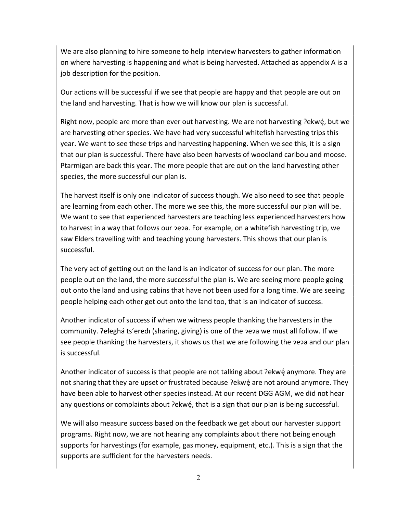We are also planning to hire someone to help interview harvesters to gather information on where harvesting is happening and what is being harvested. Attached as appendix A is a job description for the position.

Our actions will be successful if we see that people are happy and that people are out on the land and harvesting. That is how we will know our plan is successful.

Right now, people are more than ever out harvesting. We are not harvesting ?ekwé, but we are harvesting other species. We have had very successful whitefish harvesting trips this year. We want to see these trips and harvesting happening. When we see this, it is a sign that our plan is successful. There have also been harvests of woodland caribou and moose. Ptarmigan are back this year. The more people that are out on the land harvesting other species, the more successful our plan is.

The harvest itself is only one indicator of success though. We also need to see that people are learning from each other. The more we see this, the more successful our plan will be. We want to see that experienced harvesters are teaching less experienced harvesters how to harvest in a way that follows our pepa. For example, on a whitefish harvesting trip, we saw Elders travelling with and teaching young harvesters. This shows that our plan is successful.

The very act of getting out on the land is an indicator of success for our plan. The more people out on the land, the more successful the plan is. We are seeing more people going out onto the land and using cabins that have not been used for a long time. We are seeing people helping each other get out onto the land too, that is an indicator of success.

Another indicator of success if when we witness people thanking the harvesters in the community. ?ełeghá ts'eredi (sharing, giving) is one of the  $\overline{P}$ e $\overline{P}$ a we must all follow. If we see people thanking the harvesters, it shows us that we are following the pepa and our plan is successful.

Another indicator of success is that people are not talking about ?ekwe anymore. They are not sharing that they are upset or frustrated because ?ekwé are not around anymore. They have been able to harvest other species instead. At our recent DGG AGM, we did not hear any questions or complaints about ?ekwé, that is a sign that our plan is being successful.

We will also measure success based on the feedback we get about our harvester support programs. Right now, we are not hearing any complaints about there not being enough supports for harvestings (for example, gas money, equipment, etc.). This is a sign that the supports are sufficient for the harvesters needs.